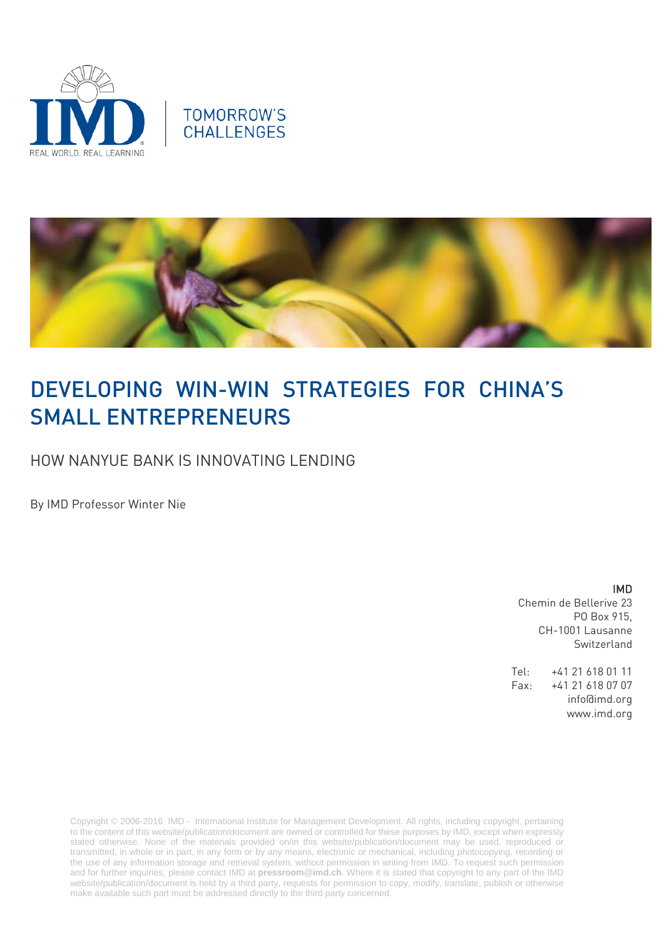





# DEVELOPING WIN-WIN STRATEGIES FOR CHINA'S SMALL ENTREPRENEURS

HOW NANYUE BANK IS INNOVATING LENDING

By IMD Professor Winter Nie

IMD Chemin de Bellerive 23 PO Box 915, CH-1001 Lausanne Switzerland

Tel: +41 21 618 01 11 Fax: +41 21 618 07 07 info@imd.org www.imd.org

Copyright © 2006-2016 IMD - International Institute for Management Development. All rights, including copyright, pertaining to the content of this website/publication/document are owned or controlled for these purposes by IMD, except when expressly stated otherwise. None of the materials provided on/in this website/publication/document may be used, reproduced or transmitted, in whole or in part, in any form or by any means, electronic or mechanical, including photocopying, recording or the use of any information storage and retrieval system, without permission in writing from IMD. To request such permission and for further inquiries, please contact IMD at **[pressroom@imd.ch](mailto:pressroom@imd.ch)**. Where it is stated that copyright to any part of the IMD website/publication/document is held by a third party, requests for permission to copy, modify, translate, publish or otherwise make available such part must be addressed directly to the third party concerned.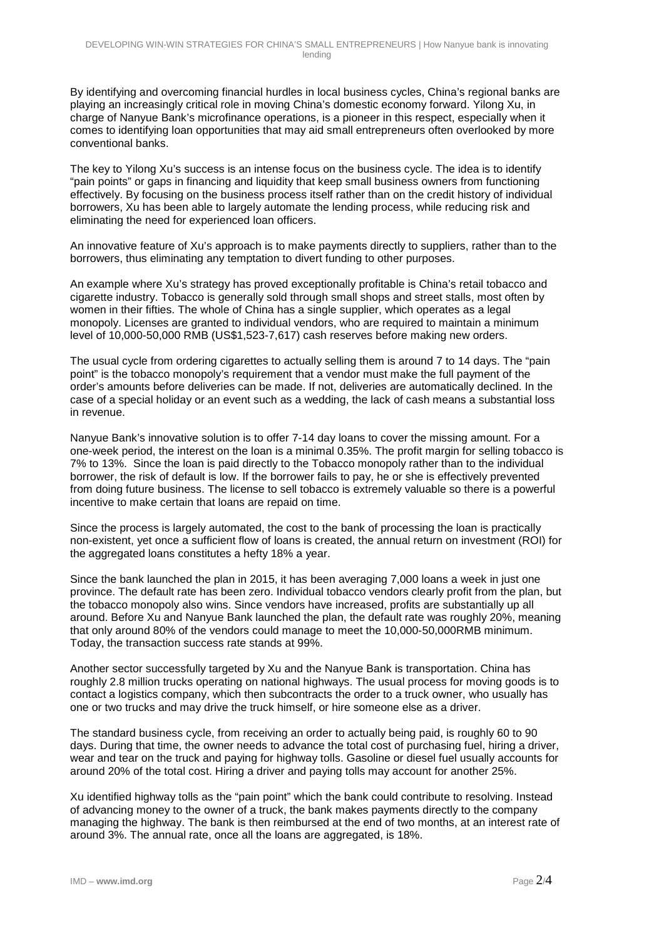By identifying and overcoming financial hurdles in local business cycles, China's regional banks are playing an increasingly critical role in moving China's domestic economy forward. Yilong Xu, in charge of Nanyue Bank's microfinance operations, is a pioneer in this respect, especially when it comes to identifying loan opportunities that may aid small entrepreneurs often overlooked by more conventional banks.

The key to Yilong Xu's success is an intense focus on the business cycle. The idea is to identify "pain points" or gaps in financing and liquidity that keep small business owners from functioning effectively. By focusing on the business process itself rather than on the credit history of individual borrowers, Xu has been able to largely automate the lending process, while reducing risk and eliminating the need for experienced loan officers.

An innovative feature of Xu's approach is to make payments directly to suppliers, rather than to the borrowers, thus eliminating any temptation to divert funding to other purposes.

An example where Xu's strategy has proved exceptionally profitable is China's retail tobacco and cigarette industry. Tobacco is generally sold through small shops and street stalls, most often by women in their fifties. The whole of China has a single supplier, which operates as a legal monopoly. Licenses are granted to individual vendors, who are required to maintain a minimum level of 10,000-50,000 RMB (US\$1,523-7,617) cash reserves before making new orders.

The usual cycle from ordering cigarettes to actually selling them is around 7 to 14 days. The "pain point" is the tobacco monopoly's requirement that a vendor must make the full payment of the order's amounts before deliveries can be made. If not, deliveries are automatically declined. In the case of a special holiday or an event such as a wedding, the lack of cash means a substantial loss in revenue.

Nanyue Bank's innovative solution is to offer 7-14 day loans to cover the missing amount. For a one-week period, the interest on the loan is a minimal 0.35%. The profit margin for selling tobacco is 7% to 13%. Since the loan is paid directly to the Tobacco monopoly rather than to the individual borrower, the risk of default is low. If the borrower fails to pay, he or she is effectively prevented from doing future business. The license to sell tobacco is extremely valuable so there is a powerful incentive to make certain that loans are repaid on time.

Since the process is largely automated, the cost to the bank of processing the loan is practically non-existent, yet once a sufficient flow of loans is created, the annual return on investment (ROI) for the aggregated loans constitutes a hefty 18% a year.

Since the bank launched the plan in 2015, it has been averaging 7,000 loans a week in just one province. The default rate has been zero. Individual tobacco vendors clearly profit from the plan, but the tobacco monopoly also wins. Since vendors have increased, profits are substantially up all around. Before Xu and Nanyue Bank launched the plan, the default rate was roughly 20%, meaning that only around 80% of the vendors could manage to meet the 10,000-50,000RMB minimum. Today, the transaction success rate stands at 99%.

Another sector successfully targeted by Xu and the Nanyue Bank is transportation. China has roughly 2.8 million trucks operating on national highways. The usual process for moving goods is to contact a logistics company, which then subcontracts the order to a truck owner, who usually has one or two trucks and may drive the truck himself, or hire someone else as a driver.

The standard business cycle, from receiving an order to actually being paid, is roughly 60 to 90 days. During that time, the owner needs to advance the total cost of purchasing fuel, hiring a driver, wear and tear on the truck and paying for highway tolls. Gasoline or diesel fuel usually accounts for around 20% of the total cost. Hiring a driver and paying tolls may account for another 25%.

Xu identified highway tolls as the "pain point" which the bank could contribute to resolving. Instead of advancing money to the owner of a truck, the bank makes payments directly to the company managing the highway. The bank is then reimbursed at the end of two months, at an interest rate of around 3%. The annual rate, once all the loans are aggregated, is 18%.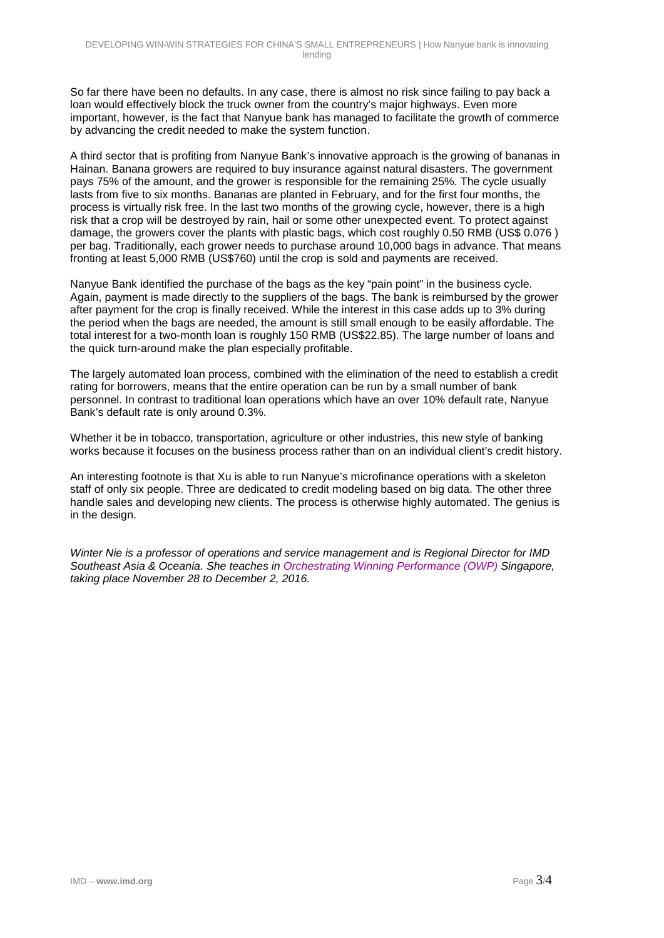So far there have been no defaults. In any case, there is almost no risk since failing to pay back a loan would effectively block the truck owner from the country's major highways. Even more important, however, is the fact that Nanyue bank has managed to facilitate the growth of commerce by advancing the credit needed to make the system function.

A third sector that is profiting from Nanyue Bank's innovative approach is the growing of bananas in Hainan. Banana growers are required to buy insurance against natural disasters. The government pays 75% of the amount, and the grower is responsible for the remaining 25%. The cycle usually lasts from five to six months. Bananas are planted in February, and for the first four months, the process is virtually risk free. In the last two months of the growing cycle, however, there is a high risk that a crop will be destroyed by rain, hail or some other unexpected event. To protect against damage, the growers cover the plants with plastic bags, which cost roughly 0.50 RMB (US\$ 0.076 ) per bag. Traditionally, each grower needs to purchase around 10,000 bags in advance. That means fronting at least 5,000 RMB (US\$760) until the crop is sold and payments are received.

Nanyue Bank identified the purchase of the bags as the key "pain point" in the business cycle. Again, payment is made directly to the suppliers of the bags. The bank is reimbursed by the grower after payment for the crop is finally received. While the interest in this case adds up to 3% during the period when the bags are needed, the amount is still small enough to be easily affordable. The total interest for a two-month loan is roughly 150 RMB (US\$22.85). The large number of loans and the quick turn-around make the plan especially profitable.

The largely automated loan process, combined with the elimination of the need to establish a credit rating for borrowers, means that the entire operation can be run by a small number of bank personnel. In contrast to traditional loan operations which have an over 10% default rate, Nanyue Bank's default rate is only around 0.3%.

Whether it be in tobacco, transportation, agriculture or other industries, this new style of banking works because it focuses on the business process rather than on an individual client's credit history.

An interesting footnote is that Xu is able to run Nanyue's microfinance operations with a skeleton staff of only six people. Three are dedicated to credit modeling based on big data. The other three handle sales and developing new clients. The process is otherwise highly automated. The genius is in the design.

*Winter Nie is a professor of operations and service management and is Regional Director for IMD Southeast Asia & Oceania. She teaches in [Orchestrating Winning Performance \(OWP\)](http://www.imd.org/executive-education/owp-home/) Singapore, taking place November 28 to December 2, 2016.*